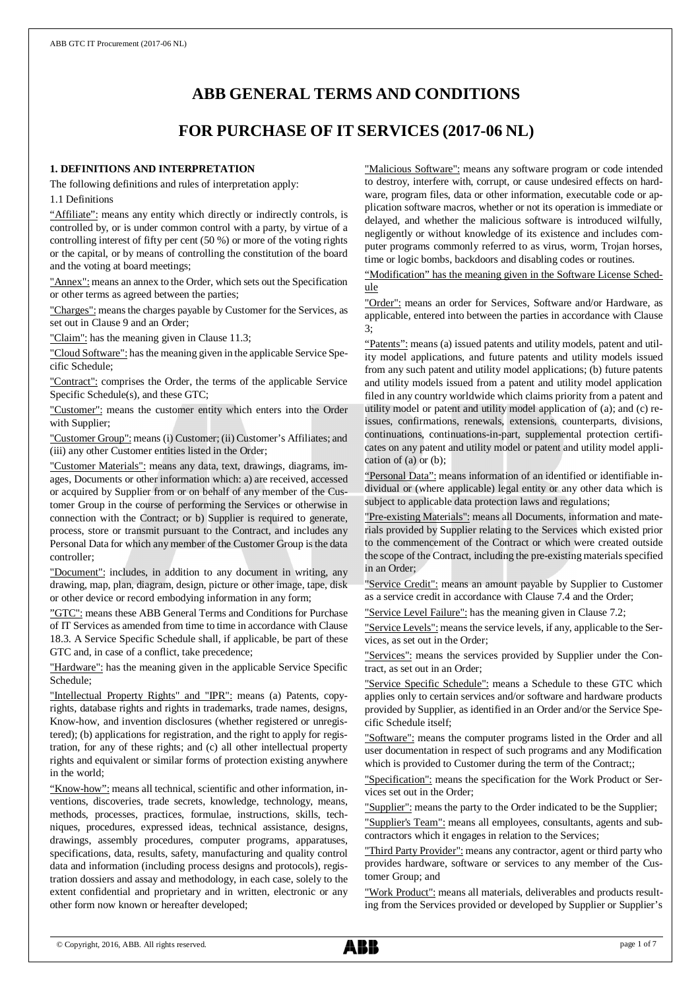# **ABB GENERAL TERMS AND CONDITIONS**

# **FOR PURCHASE OF IT SERVICES (2017-06 NL)**

#### **1. DEFINITIONS AND INTERPRETATION**

The following definitions and rules of interpretation apply:

1.1 Definitions

"Affiliate": means any entity which directly or indirectly controls, is controlled by, or is under common control with a party, by virtue of a controlling interest of fifty per cent (50 %) or more of the voting rights or the capital, or by means of controlling the constitution of the board and the voting at board meetings;

"Annex": means an annex to the Order, which sets out the Specification or other terms as agreed between the parties;

"Charges": means the charges payable by Customer for the Services, as set out in Clause 9 and an Order;

"Claim": has the meaning given in Clause 11.3;

"Cloud Software": has the meaning given in the applicable Service Specific Schedule;

"Contract": comprises the Order, the terms of the applicable Service Specific Schedule(s), and these GTC;

"Customer": means the customer entity which enters into the Order with Supplier;

"Customer Group": means (i) Customer; (ii) Customer's Affiliates; and (iii) any other Customer entities listed in the Order;

"Customer Materials": means any data, text, drawings, diagrams, images, Documents or other information which: a) are received, accessed or acquired by Supplier from or on behalf of any member of the Customer Group in the course of performing the Services or otherwise in connection with the Contract; or b) Supplier is required to generate, process, store or transmit pursuant to the Contract, and includes any Personal Data for which any member of the Customer Group is the data controller;

"Document": includes, in addition to any document in writing, any drawing, map, plan, diagram, design, picture or other image, tape, disk or other device or record embodying information in any form;

"GTC": means these ABB General Terms and Conditions for Purchase of IT Services as amended from time to time in accordance with Clause 18.3. A Service Specific Schedule shall, if applicable, be part of these GTC and, in case of a conflict, take precedence;

"Hardware": has the meaning given in the applicable Service Specific Schedule;

"Intellectual Property Rights" and "IPR": means (a) Patents, copyrights, database rights and rights in trademarks, trade names, designs, Know-how, and invention disclosures (whether registered or unregistered); (b) applications for registration, and the right to apply for registration, for any of these rights; and (c) all other intellectual property rights and equivalent or similar forms of protection existing anywhere in the world;

"Know-how": means all technical, scientific and other information, inventions, discoveries, trade secrets, knowledge, technology, means, methods, processes, practices, formulae, instructions, skills, techniques, procedures, expressed ideas, technical assistance, designs, drawings, assembly procedures, computer programs, apparatuses, specifications, data, results, safety, manufacturing and quality control data and information (including process designs and protocols), registration dossiers and assay and methodology, in each case, solely to the extent confidential and proprietary and in written, electronic or any other form now known or hereafter developed;

"Malicious Software": means any software program or code intended to destroy, interfere with, corrupt, or cause undesired effects on hardware, program files, data or other information, executable code or application software macros, whether or not its operation is immediate or delayed, and whether the malicious software is introduced wilfully, negligently or without knowledge of its existence and includes computer programs commonly referred to as virus, worm, Trojan horses, time or logic bombs, backdoors and disabling codes or routines.

"Modification" has the meaning given in the Software License Schedule

"Order": means an order for Services, Software and/or Hardware, as applicable, entered into between the parties in accordance with Clause 3;

"Patents": means (a) issued patents and utility models, patent and utility model applications, and future patents and utility models issued from any such patent and utility model applications; (b) future patents and utility models issued from a patent and utility model application filed in any country worldwide which claims priority from a patent and utility model or patent and utility model application of (a); and (c) reissues, confirmations, renewals, extensions, counterparts, divisions, continuations, continuations-in-part, supplemental protection certificates on any patent and utility model or patent and utility model application of (a) or (b);

"Personal Data": means information of an identified or identifiable individual or (where applicable) legal entity or any other data which is subject to applicable data protection laws and regulations;

"Pre-existing Materials": means all Documents, information and materials provided by Supplier relating to the Services which existed prior to the commencement of the Contract or which were created outside the scope of the Contract, including the pre-existing materials specified in an Order;

"Service Credit": means an amount payable by Supplier to Customer as a service credit in accordance with Clause 7.4 and the Order;

"Service Level Failure": has the meaning given in Clause 7.2;

"Service Levels": means the service levels, if any, applicable to the Services, as set out in the Order;

"Services": means the services provided by Supplier under the Contract, as set out in an Order;

"Service Specific Schedule": means a Schedule to these GTC which applies only to certain services and/or software and hardware products provided by Supplier, as identified in an Order and/or the Service Specific Schedule itself;

"Software": means the computer programs listed in the Order and all user documentation in respect of such programs and any Modification which is provided to Customer during the term of the Contract;;

"Specification": means the specification for the Work Product or Services set out in the Order;

"Supplier": means the party to the Order indicated to be the Supplier; "Supplier's Team": means all employees, consultants, agents and sub-

contractors which it engages in relation to the Services;

"Third Party Provider": means any contractor, agent or third party who provides hardware, software or services to any member of the Customer Group; and

"Work Product": means all materials, deliverables and products resulting from the Services provided or developed by Supplier or Supplier's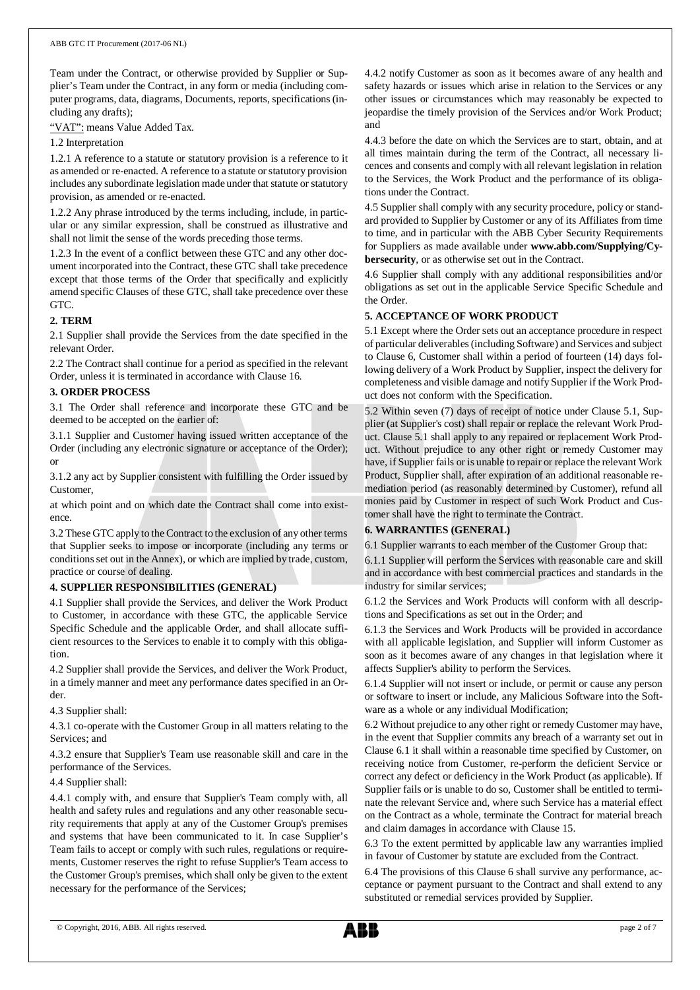Team under the Contract, or otherwise provided by Supplier or Supplier's Team under the Contract, in any form or media (including computer programs, data, diagrams, Documents, reports, specifications (including any drafts);

"VAT": means Value Added Tax.

1.2 Interpretation

1.2.1 A reference to a statute or statutory provision is a reference to it as amended or re-enacted. A reference to a statute or statutory provision includes any subordinate legislation made under that statute or statutory provision, as amended or re-enacted.

1.2.2 Any phrase introduced by the terms including, include, in particular or any similar expression, shall be construed as illustrative and shall not limit the sense of the words preceding those terms.

1.2.3 In the event of a conflict between these GTC and any other document incorporated into the Contract, these GTC shall take precedence except that those terms of the Order that specifically and explicitly amend specific Clauses of these GTC, shall take precedence over these GTC.

# **2. TERM**

2.1 Supplier shall provide the Services from the date specified in the relevant Order.

2.2 The Contract shall continue for a period as specified in the relevant Order, unless it is terminated in accordance with Clause 16.

# **3. ORDER PROCESS**

3.1 The Order shall reference and incorporate these GTC and be deemed to be accepted on the earlier of:

3.1.1 Supplier and Customer having issued written acceptance of the Order (including any electronic signature or acceptance of the Order); or

3.1.2 any act by Supplier consistent with fulfilling the Order issued by Customer,

at which point and on which date the Contract shall come into existence.

3.2 These GTC apply to the Contract to the exclusion of any other terms that Supplier seeks to impose or incorporate (including any terms or conditions set out in the Annex), or which are implied by trade, custom, practice or course of dealing.

# **4. SUPPLIER RESPONSIBILITIES (GENERAL)**

4.1 Supplier shall provide the Services, and deliver the Work Product to Customer, in accordance with these GTC, the applicable Service Specific Schedule and the applicable Order, and shall allocate sufficient resources to the Services to enable it to comply with this obligation.

4.2 Supplier shall provide the Services, and deliver the Work Product, in a timely manner and meet any performance dates specified in an Order.

4.3 Supplier shall:

4.3.1 co-operate with the Customer Group in all matters relating to the Services; and

4.3.2 ensure that Supplier's Team use reasonable skill and care in the performance of the Services.

4.4 Supplier shall:

4.4.1 comply with, and ensure that Supplier's Team comply with, all health and safety rules and regulations and any other reasonable security requirements that apply at any of the Customer Group's premises and systems that have been communicated to it. In case Supplier's Team fails to accept or comply with such rules, regulations or requirements, Customer reserves the right to refuse Supplier's Team access to the Customer Group's premises, which shall only be given to the extent necessary for the performance of the Services;

4.4.2 notify Customer as soon as it becomes aware of any health and safety hazards or issues which arise in relation to the Services or any other issues or circumstances which may reasonably be expected to jeopardise the timely provision of the Services and/or Work Product; and

4.4.3 before the date on which the Services are to start, obtain, and at all times maintain during the term of the Contract, all necessary licences and consents and comply with all relevant legislation in relation to the Services, the Work Product and the performance of its obligations under the Contract.

4.5 Supplier shall comply with any security procedure, policy or standard provided to Supplier by Customer or any of its Affiliates from time to time, and in particular with the ABB Cyber Security Requirements for Suppliers as made available under **www.abb.com/Supplying/Cybersecurity**, or as otherwise set out in the Contract.

4.6 Supplier shall comply with any additional responsibilities and/or obligations as set out in the applicable Service Specific Schedule and the Order.

# **5. ACCEPTANCE OF WORK PRODUCT**

5.1 Except where the Order sets out an acceptance procedure in respect of particular deliverables (including Software) and Services and subject to Clause 6, Customer shall within a period of fourteen (14) days following delivery of a Work Product by Supplier, inspect the delivery for completeness and visible damage and notify Supplier if the Work Product does not conform with the Specification.

5.2 Within seven (7) days of receipt of notice under Clause 5.1, Supplier (at Supplier's cost) shall repair or replace the relevant Work Product. Clause 5.1 shall apply to any repaired or replacement Work Product. Without prejudice to any other right or remedy Customer may have, if Supplier fails or is unable to repair or replace the relevant Work Product, Supplier shall, after expiration of an additional reasonable remediation period (as reasonably determined by Customer), refund all monies paid by Customer in respect of such Work Product and Customer shall have the right to terminate the Contract.

# **6. WARRANTIES (GENERAL)**

6.1 Supplier warrants to each member of the Customer Group that:

6.1.1 Supplier will perform the Services with reasonable care and skill and in accordance with best commercial practices and standards in the industry for similar services;

6.1.2 the Services and Work Products will conform with all descriptions and Specifications as set out in the Order; and

6.1.3 the Services and Work Products will be provided in accordance with all applicable legislation, and Supplier will inform Customer as soon as it becomes aware of any changes in that legislation where it affects Supplier's ability to perform the Services.

6.1.4 Supplier will not insert or include, or permit or cause any person or software to insert or include, any Malicious Software into the Software as a whole or any individual Modification;

6.2 Without prejudice to any other right or remedy Customer may have, in the event that Supplier commits any breach of a warranty set out in Clause 6.1 it shall within a reasonable time specified by Customer, on receiving notice from Customer, re-perform the deficient Service or correct any defect or deficiency in the Work Product (as applicable). If Supplier fails or is unable to do so, Customer shall be entitled to terminate the relevant Service and, where such Service has a material effect on the Contract as a whole, terminate the Contract for material breach and claim damages in accordance with Clause 15.

6.3 To the extent permitted by applicable law any warranties implied in favour of Customer by statute are excluded from the Contract.

6.4 The provisions of this Clause 6 shall survive any performance, acceptance or payment pursuant to the Contract and shall extend to any substituted or remedial services provided by Supplier.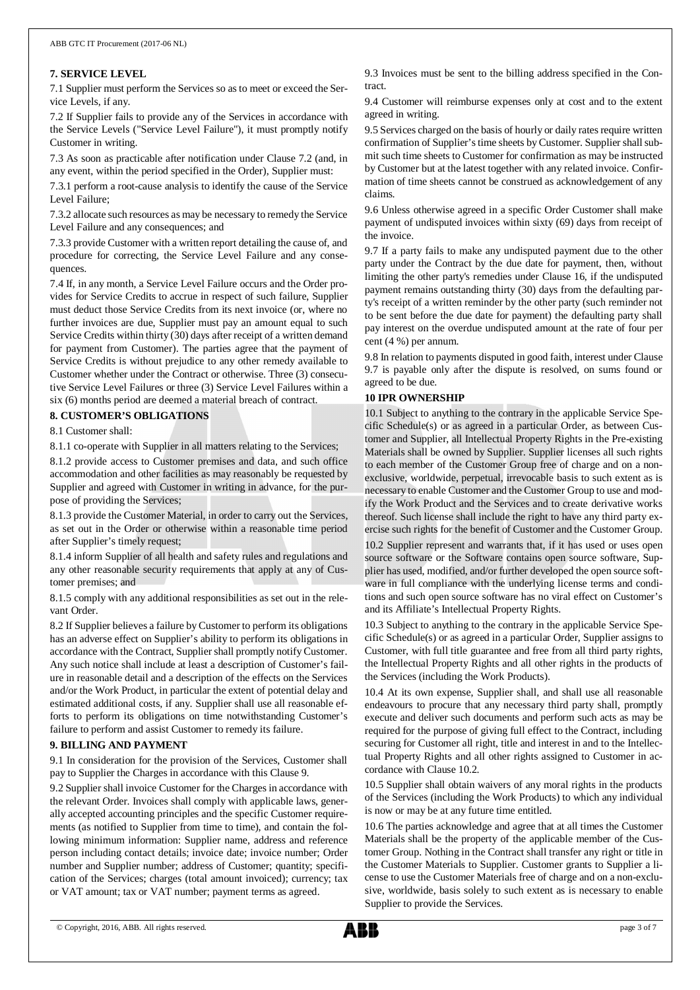#### **7. SERVICE LEVEL**

7.1 Supplier must perform the Services so as to meet or exceed the Service Levels, if any.

7.2 If Supplier fails to provide any of the Services in accordance with the Service Levels ("Service Level Failure"), it must promptly notify Customer in writing.

7.3 As soon as practicable after notification under Clause 7.2 (and, in any event, within the period specified in the Order), Supplier must:

7.3.1 perform a root-cause analysis to identify the cause of the Service Level Failure;

7.3.2 allocate such resources as may be necessary to remedy the Service Level Failure and any consequences; and

7.3.3 provide Customer with a written report detailing the cause of, and procedure for correcting, the Service Level Failure and any consequences.

7.4 If, in any month, a Service Level Failure occurs and the Order provides for Service Credits to accrue in respect of such failure, Supplier must deduct those Service Credits from its next invoice (or, where no further invoices are due, Supplier must pay an amount equal to such Service Credits within thirty (30) days after receipt of a written demand for payment from Customer). The parties agree that the payment of Service Credits is without prejudice to any other remedy available to Customer whether under the Contract or otherwise. Three (3) consecutive Service Level Failures or three (3) Service Level Failures within a six (6) months period are deemed a material breach of contract.

**8. CUSTOMER'S OBLIGATIONS**

8.1 Customer shall:

8.1.1 co-operate with Supplier in all matters relating to the Services;

8.1.2 provide access to Customer premises and data, and such office accommodation and other facilities as may reasonably be requested by Supplier and agreed with Customer in writing in advance, for the purpose of providing the Services;

8.1.3 provide the Customer Material, in order to carry out the Services, as set out in the Order or otherwise within a reasonable time period after Supplier's timely request;

8.1.4 inform Supplier of all health and safety rules and regulations and any other reasonable security requirements that apply at any of Customer premises; and

8.1.5 comply with any additional responsibilities as set out in the relevant Order.

8.2 If Supplier believes a failure by Customer to perform its obligations has an adverse effect on Supplier's ability to perform its obligations in accordance with the Contract, Supplier shall promptly notify Customer. Any such notice shall include at least a description of Customer's failure in reasonable detail and a description of the effects on the Services and/or the Work Product, in particular the extent of potential delay and estimated additional costs, if any. Supplier shall use all reasonable efforts to perform its obligations on time notwithstanding Customer's failure to perform and assist Customer to remedy its failure.

#### **9. BILLING AND PAYMENT**

9.1 In consideration for the provision of the Services, Customer shall pay to Supplier the Charges in accordance with this Clause 9.

9.2 Supplier shall invoice Customer for the Charges in accordance with the relevant Order. Invoices shall comply with applicable laws, generally accepted accounting principles and the specific Customer requirements (as notified to Supplier from time to time), and contain the following minimum information: Supplier name, address and reference person including contact details; invoice date; invoice number; Order number and Supplier number; address of Customer; quantity; specification of the Services; charges (total amount invoiced); currency; tax or VAT amount; tax or VAT number; payment terms as agreed.

9.3 Invoices must be sent to the billing address specified in the Contract.

9.4 Customer will reimburse expenses only at cost and to the extent agreed in writing.

9.5 Services charged on the basis of hourly or daily rates require written confirmation of Supplier's time sheets by Customer. Supplier shall submit such time sheets to Customer for confirmation as may be instructed by Customer but at the latest together with any related invoice. Confirmation of time sheets cannot be construed as acknowledgement of any claims.

9.6 Unless otherwise agreed in a specific Order Customer shall make payment of undisputed invoices within sixty (69) days from receipt of the invoice.

9.7 If a party fails to make any undisputed payment due to the other party under the Contract by the due date for payment, then, without limiting the other party's remedies under Clause 16, if the undisputed payment remains outstanding thirty (30) days from the defaulting party's receipt of a written reminder by the other party (such reminder not to be sent before the due date for payment) the defaulting party shall pay interest on the overdue undisputed amount at the rate of four per cent (4 %) per annum.

9.8 In relation to payments disputed in good faith, interest under Clause 9.7 is payable only after the dispute is resolved, on sums found or agreed to be due.

# **10 IPR OWNERSHIP**

10.1 Subject to anything to the contrary in the applicable Service Specific Schedule(s) or as agreed in a particular Order, as between Customer and Supplier, all Intellectual Property Rights in the Pre-existing Materials shall be owned by Supplier. Supplier licenses all such rights to each member of the Customer Group free of charge and on a nonexclusive, worldwide, perpetual, irrevocable basis to such extent as is necessary to enable Customer and the Customer Group to use and modify the Work Product and the Services and to create derivative works thereof. Such license shall include the right to have any third party exercise such rights for the benefit of Customer and the Customer Group. 10.2 Supplier represent and warrants that, if it has used or uses open source software or the Software contains open source software, Sup-

plier has used, modified, and/or further developed the open source software in full compliance with the underlying license terms and conditions and such open source software has no viral effect on Customer's and its Affiliate's Intellectual Property Rights.

10.3 Subject to anything to the contrary in the applicable Service Specific Schedule(s) or as agreed in a particular Order, Supplier assigns to Customer, with full title guarantee and free from all third party rights, the Intellectual Property Rights and all other rights in the products of the Services (including the Work Products).

10.4 At its own expense, Supplier shall, and shall use all reasonable endeavours to procure that any necessary third party shall, promptly execute and deliver such documents and perform such acts as may be required for the purpose of giving full effect to the Contract, including securing for Customer all right, title and interest in and to the Intellectual Property Rights and all other rights assigned to Customer in accordance with Clause 10.2.

10.5 Supplier shall obtain waivers of any moral rights in the products of the Services (including the Work Products) to which any individual is now or may be at any future time entitled.

10.6 The parties acknowledge and agree that at all times the Customer Materials shall be the property of the applicable member of the Customer Group. Nothing in the Contract shall transfer any right or title in the Customer Materials to Supplier. Customer grants to Supplier a license to use the Customer Materials free of charge and on a non-exclusive, worldwide, basis solely to such extent as is necessary to enable Supplier to provide the Services.

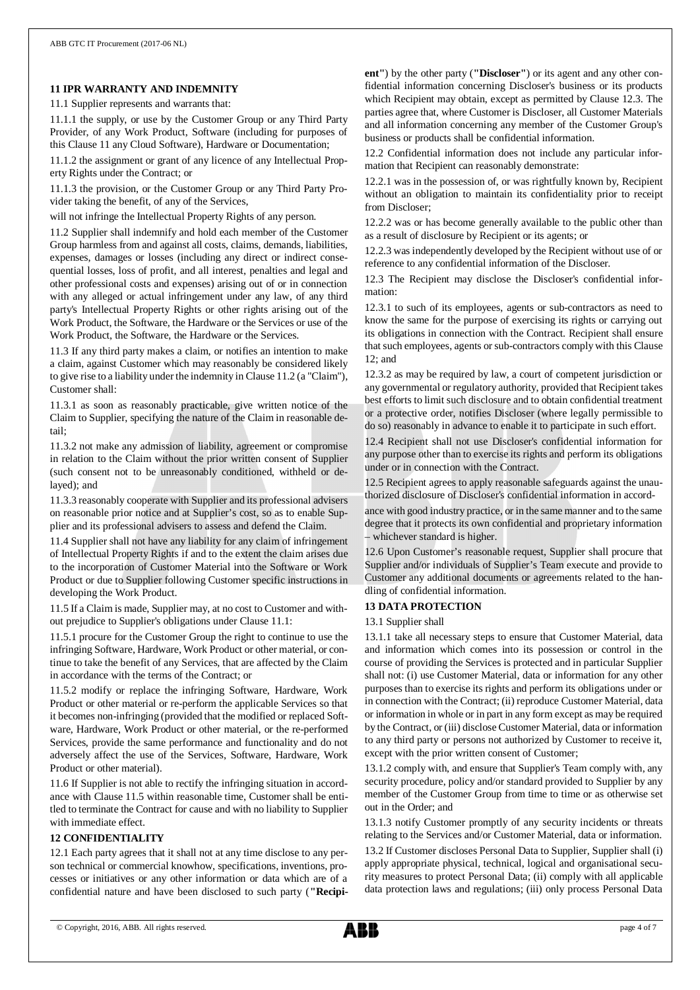#### **11 IPR WARRANTY AND INDEMNITY**

11.1 Supplier represents and warrants that:

11.1.1 the supply, or use by the Customer Group or any Third Party Provider, of any Work Product, Software (including for purposes of this Clause 11 any Cloud Software), Hardware or Documentation;

11.1.2 the assignment or grant of any licence of any Intellectual Property Rights under the Contract; or

11.1.3 the provision, or the Customer Group or any Third Party Provider taking the benefit, of any of the Services,

will not infringe the Intellectual Property Rights of any person.

11.2 Supplier shall indemnify and hold each member of the Customer Group harmless from and against all costs, claims, demands, liabilities, expenses, damages or losses (including any direct or indirect consequential losses, loss of profit, and all interest, penalties and legal and other professional costs and expenses) arising out of or in connection with any alleged or actual infringement under any law, of any third party's Intellectual Property Rights or other rights arising out of the Work Product, the Software, the Hardware or the Services or use of the Work Product, the Software, the Hardware or the Services.

11.3 If any third party makes a claim, or notifies an intention to make a claim, against Customer which may reasonably be considered likely to give rise to a liability under the indemnity in Clause 11.2 (a "Claim"), Customer shall:

11.3.1 as soon as reasonably practicable, give written notice of the Claim to Supplier, specifying the nature of the Claim in reasonable detail;

11.3.2 not make any admission of liability, agreement or compromise in relation to the Claim without the prior written consent of Supplier (such consent not to be unreasonably conditioned, withheld or delayed); and

11.3.3 reasonably cooperate with Supplier and its professional advisers on reasonable prior notice and at Supplier's cost, so as to enable Supplier and its professional advisers to assess and defend the Claim.

11.4 Supplier shall not have any liability for any claim of infringement of Intellectual Property Rights if and to the extent the claim arises due to the incorporation of Customer Material into the Software or Work Product or due to Supplier following Customer specific instructions in developing the Work Product.

11.5 If a Claim is made, Supplier may, at no cost to Customer and without prejudice to Supplier's obligations under Clause 11.1:

11.5.1 procure for the Customer Group the right to continue to use the infringing Software, Hardware, Work Product or other material, or continue to take the benefit of any Services, that are affected by the Claim in accordance with the terms of the Contract; or

11.5.2 modify or replace the infringing Software, Hardware, Work Product or other material or re-perform the applicable Services so that it becomes non-infringing (provided that the modified or replaced Software, Hardware, Work Product or other material, or the re-performed Services, provide the same performance and functionality and do not adversely affect the use of the Services, Software, Hardware, Work Product or other material).

11.6 If Supplier is not able to rectify the infringing situation in accordance with Clause 11.5 within reasonable time, Customer shall be entitled to terminate the Contract for cause and with no liability to Supplier with immediate effect.

#### **12 CONFIDENTIALITY**

12.1 Each party agrees that it shall not at any time disclose to any person technical or commercial knowhow, specifications, inventions, processes or initiatives or any other information or data which are of a confidential nature and have been disclosed to such party (**"Recipi-** **ent"**) by the other party (**"Discloser"**) or its agent and any other confidential information concerning Discloser's business or its products which Recipient may obtain, except as permitted by Clause 12.3. The parties agree that, where Customer is Discloser, all Customer Materials and all information concerning any member of the Customer Group's business or products shall be confidential information.

12.2 Confidential information does not include any particular information that Recipient can reasonably demonstrate:

12.2.1 was in the possession of, or was rightfully known by, Recipient without an obligation to maintain its confidentiality prior to receipt from Discloser;

12.2.2 was or has become generally available to the public other than as a result of disclosure by Recipient or its agents; or

12.2.3 was independently developed by the Recipient without use of or reference to any confidential information of the Discloser.

12.3 The Recipient may disclose the Discloser's confidential information:

12.3.1 to such of its employees, agents or sub-contractors as need to know the same for the purpose of exercising its rights or carrying out its obligations in connection with the Contract. Recipient shall ensure that such employees, agents or sub-contractors comply with this Clause 12; and

12.3.2 as may be required by law, a court of competent jurisdiction or any governmental or regulatory authority, provided that Recipient takes best efforts to limit such disclosure and to obtain confidential treatment or a protective order, notifies Discloser (where legally permissible to do so) reasonably in advance to enable it to participate in such effort.

12.4 Recipient shall not use Discloser's confidential information for any purpose other than to exercise its rights and perform its obligations under or in connection with the Contract.

12.5 Recipient agrees to apply reasonable safeguards against the unauthorized disclosure of Discloser's confidential information in accord-

ance with good industry practice, or in the same manner and to the same degree that it protects its own confidential and proprietary information – whichever standard is higher.

12.6 Upon Customer's reasonable request, Supplier shall procure that Supplier and/or individuals of Supplier's Team execute and provide to Customer any additional documents or agreements related to the handling of confidential information.

#### **13 DATA PROTECTION**

13.1 Supplier shall

13.1.1 take all necessary steps to ensure that Customer Material, data and information which comes into its possession or control in the course of providing the Services is protected and in particular Supplier shall not: (i) use Customer Material, data or information for any other purposes than to exercise its rights and perform its obligations under or in connection with the Contract; (ii) reproduce Customer Material, data or information in whole or in part in any form except as may be required by the Contract, or (iii) disclose Customer Material, data or information to any third party or persons not authorized by Customer to receive it, except with the prior written consent of Customer;

13.1.2 comply with, and ensure that Supplier's Team comply with, any security procedure, policy and/or standard provided to Supplier by any member of the Customer Group from time to time or as otherwise set out in the Order; and

13.1.3 notify Customer promptly of any security incidents or threats relating to the Services and/or Customer Material, data or information.

13.2 If Customer discloses Personal Data to Supplier, Supplier shall (i) apply appropriate physical, technical, logical and organisational security measures to protect Personal Data; (ii) comply with all applicable data protection laws and regulations; (iii) only process Personal Data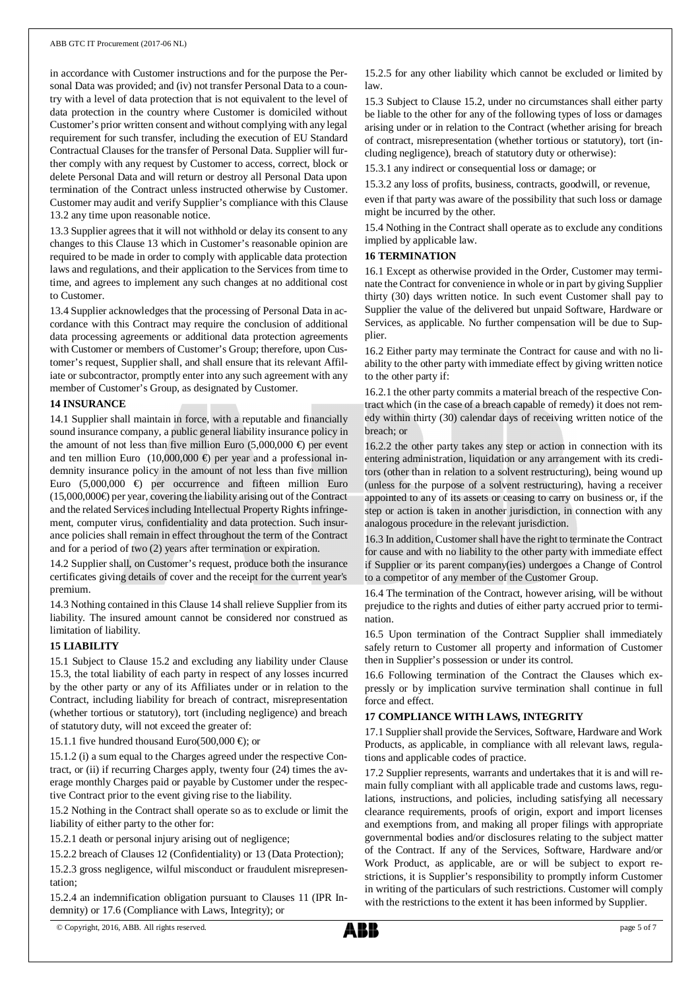in accordance with Customer instructions and for the purpose the Personal Data was provided; and (iv) not transfer Personal Data to a country with a level of data protection that is not equivalent to the level of data protection in the country where Customer is domiciled without Customer's prior written consent and without complying with any legal requirement for such transfer, including the execution of EU Standard Contractual Clauses for the transfer of Personal Data. Supplier will further comply with any request by Customer to access, correct, block or delete Personal Data and will return or destroy all Personal Data upon termination of the Contract unless instructed otherwise by Customer. Customer may audit and verify Supplier's compliance with this Clause 13.2 any time upon reasonable notice.

13.3 Supplier agrees that it will not withhold or delay its consent to any changes to this Clause 13 which in Customer's reasonable opinion are required to be made in order to comply with applicable data protection laws and regulations, and their application to the Services from time to time, and agrees to implement any such changes at no additional cost to Customer.

13.4 Supplier acknowledges that the processing of Personal Data in accordance with this Contract may require the conclusion of additional data processing agreements or additional data protection agreements with Customer or members of Customer's Group; therefore, upon Customer's request, Supplier shall, and shall ensure that its relevant Affiliate or subcontractor, promptly enter into any such agreement with any member of Customer's Group, as designated by Customer.

#### **14 INSURANCE**

14.1 Supplier shall maintain in force, with a reputable and financially sound insurance company, a public general liability insurance policy in the amount of not less than five million Euro (5,000,000  $\oplus$ ) per event and ten million Euro (10,000,000  $\oplus$ ) per year and a professional indemnity insurance policy in the amount of not less than five million Euro  $(5,000,000 \Leftrightarrow$  per occurrence and fifteen million Euro  $(15,000,000 \oplus$  per year, covering the liability arising out of the Contract and the related Services including Intellectual Property Rights infringement, computer virus, confidentiality and data protection. Such insurance policies shall remain in effect throughout the term of the Contract and for a period of two (2) years after termination or expiration.

14.2 Supplier shall, on Customer's request, produce both the insurance certificates giving details of cover and the receipt for the current year's premium.

14.3 Nothing contained in this Clause 14 shall relieve Supplier from its liability. The insured amount cannot be considered nor construed as limitation of liability.

#### **15 LIABILITY**

15.1 Subject to Clause 15.2 and excluding any liability under Clause 15.3, the total liability of each party in respect of any losses incurred by the other party or any of its Affiliates under or in relation to the Contract, including liability for breach of contract, misrepresentation (whether tortious or statutory), tort (including negligence) and breach of statutory duty, will not exceed the greater of:

15.1.1 five hundred thousand Euro(500,000  $\oplus$ ; or

15.1.2 (i) a sum equal to the Charges agreed under the respective Contract, or (ii) if recurring Charges apply, twenty four (24) times the average monthly Charges paid or payable by Customer under the respective Contract prior to the event giving rise to the liability.

15.2 Nothing in the Contract shall operate so as to exclude or limit the liability of either party to the other for:

15.2.1 death or personal injury arising out of negligence;

15.2.2 breach of Clauses 12 (Confidentiality) or 13 (Data Protection); 15.2.3 gross negligence, wilful misconduct or fraudulent misrepresentation;

15.2.4 an indemnification obligation pursuant to Clauses 11 (IPR Indemnity) or 17.6 (Compliance with Laws, Integrity); or

15.2.5 for any other liability which cannot be excluded or limited by law.

15.3 Subject to Clause 15.2, under no circumstances shall either party be liable to the other for any of the following types of loss or damages arising under or in relation to the Contract (whether arising for breach of contract, misrepresentation (whether tortious or statutory), tort (including negligence), breach of statutory duty or otherwise):

15.3.1 any indirect or consequential loss or damage; or

15.3.2 any loss of profits, business, contracts, goodwill, or revenue,

even if that party was aware of the possibility that such loss or damage might be incurred by the other.

15.4 Nothing in the Contract shall operate as to exclude any conditions implied by applicable law.

### **16 TERMINATION**

16.1 Except as otherwise provided in the Order, Customer may terminate the Contract for convenience in whole or in part by giving Supplier thirty (30) days written notice. In such event Customer shall pay to Supplier the value of the delivered but unpaid Software, Hardware or Services, as applicable. No further compensation will be due to Supplier.

16.2 Either party may terminate the Contract for cause and with no liability to the other party with immediate effect by giving written notice to the other party if:

16.2.1 the other party commits a material breach of the respective Contract which (in the case of a breach capable of remedy) it does not remedy within thirty (30) calendar days of receiving written notice of the breach; or

16.2.2 the other party takes any step or action in connection with its entering administration, liquidation or any arrangement with its creditors (other than in relation to a solvent restructuring), being wound up (unless for the purpose of a solvent restructuring), having a receiver appointed to any of its assets or ceasing to carry on business or, if the step or action is taken in another jurisdiction, in connection with any analogous procedure in the relevant jurisdiction.

16.3 In addition, Customer shall have the right to terminate the Contract for cause and with no liability to the other party with immediate effect if Supplier or its parent company(ies) undergoes a Change of Control to a competitor of any member of the Customer Group.

16.4 The termination of the Contract, however arising, will be without prejudice to the rights and duties of either party accrued prior to termination.

16.5 Upon termination of the Contract Supplier shall immediately safely return to Customer all property and information of Customer then in Supplier's possession or under its control.

16.6 Following termination of the Contract the Clauses which expressly or by implication survive termination shall continue in full force and effect.

#### **17 COMPLIANCE WITH LAWS, INTEGRITY**

17.1 Supplier shall provide the Services, Software, Hardware and Work Products, as applicable, in compliance with all relevant laws, regulations and applicable codes of practice.

17.2 Supplier represents, warrants and undertakes that it is and will remain fully compliant with all applicable trade and customs laws, regulations, instructions, and policies, including satisfying all necessary clearance requirements, proofs of origin, export and import licenses and exemptions from, and making all proper filings with appropriate governmental bodies and/or disclosures relating to the subject matter of the Contract. If any of the Services, Software, Hardware and/or Work Product, as applicable, are or will be subject to export restrictions, it is Supplier's responsibility to promptly inform Customer in writing of the particulars of such restrictions. Customer will comply with the restrictions to the extent it has been informed by Supplier.

© Copyright, 2016, ABB. All rights reserved. page 5 of 7

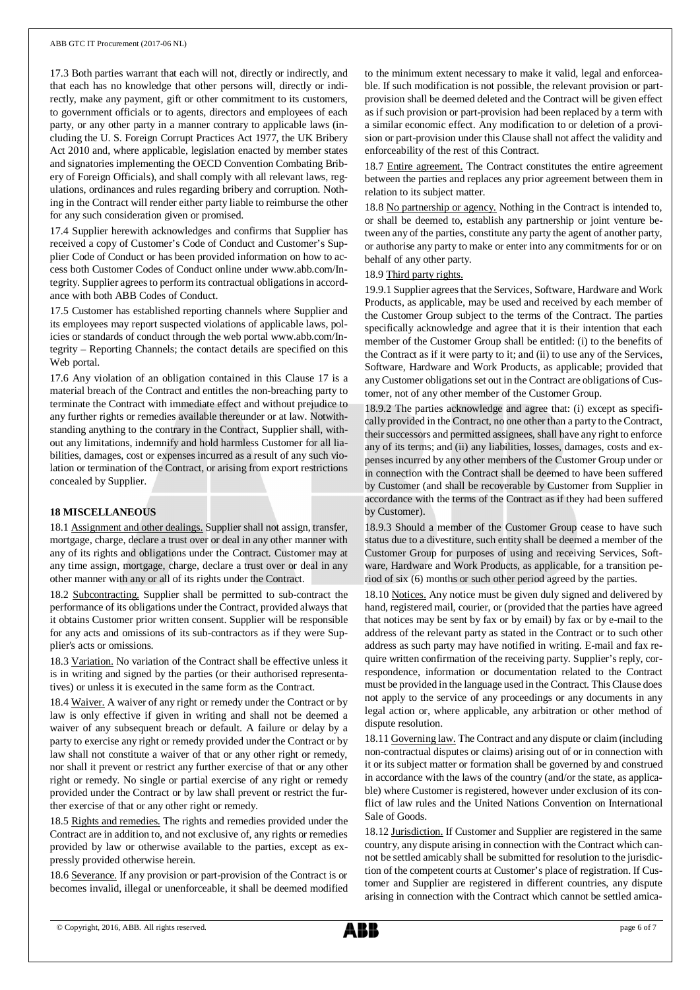17.3 Both parties warrant that each will not, directly or indirectly, and that each has no knowledge that other persons will, directly or indirectly, make any payment, gift or other commitment to its customers, to government officials or to agents, directors and employees of each party, or any other party in a manner contrary to applicable laws (including the U. S. Foreign Corrupt Practices Act 1977, the UK Bribery Act 2010 and, where applicable, legislation enacted by member states and signatories implementing the OECD Convention Combating Bribery of Foreign Officials), and shall comply with all relevant laws, regulations, ordinances and rules regarding bribery and corruption. Nothing in the Contract will render either party liable to reimburse the other for any such consideration given or promised.

17.4 Supplier herewith acknowledges and confirms that Supplier has received a copy of Customer's Code of Conduct and Customer's Supplier Code of Conduct or has been provided information on how to access both Customer Codes of Conduct online under www.abb.com/Integrity. Supplier agrees to perform its contractual obligations in accordance with both ABB Codes of Conduct.

17.5 Customer has established reporting channels where Supplier and its employees may report suspected violations of applicable laws, policies or standards of conduct through the web portal www.abb.com/Integrity – Reporting Channels; the contact details are specified on this Web portal.

17.6 Any violation of an obligation contained in this Clause 17 is a material breach of the Contract and entitles the non-breaching party to terminate the Contract with immediate effect and without prejudice to any further rights or remedies available thereunder or at law. Notwithstanding anything to the contrary in the Contract, Supplier shall, without any limitations, indemnify and hold harmless Customer for all liabilities, damages, cost or expenses incurred as a result of any such violation or termination of the Contract, or arising from export restrictions concealed by Supplier.

# **18 MISCELLANEOUS**

18.1 Assignment and other dealings. Supplier shall not assign, transfer, mortgage, charge, declare a trust over or deal in any other manner with any of its rights and obligations under the Contract. Customer may at any time assign, mortgage, charge, declare a trust over or deal in any other manner with any or all of its rights under the Contract.

18.2 Subcontracting. Supplier shall be permitted to sub-contract the performance of its obligations under the Contract, provided always that it obtains Customer prior written consent. Supplier will be responsible for any acts and omissions of its sub-contractors as if they were Supplier's acts or omissions.

18.3 Variation. No variation of the Contract shall be effective unless it is in writing and signed by the parties (or their authorised representatives) or unless it is executed in the same form as the Contract.

18.4 Waiver. A waiver of any right or remedy under the Contract or by law is only effective if given in writing and shall not be deemed a waiver of any subsequent breach or default. A failure or delay by a party to exercise any right or remedy provided under the Contract or by law shall not constitute a waiver of that or any other right or remedy, nor shall it prevent or restrict any further exercise of that or any other right or remedy. No single or partial exercise of any right or remedy provided under the Contract or by law shall prevent or restrict the further exercise of that or any other right or remedy.

18.5 Rights and remedies. The rights and remedies provided under the Contract are in addition to, and not exclusive of, any rights or remedies provided by law or otherwise available to the parties, except as expressly provided otherwise herein.

18.6 Severance. If any provision or part-provision of the Contract is or becomes invalid, illegal or unenforceable, it shall be deemed modified to the minimum extent necessary to make it valid, legal and enforceable. If such modification is not possible, the relevant provision or partprovision shall be deemed deleted and the Contract will be given effect as if such provision or part-provision had been replaced by a term with a similar economic effect. Any modification to or deletion of a provision or part-provision under this Clause shall not affect the validity and enforceability of the rest of this Contract.

18.7 Entire agreement. The Contract constitutes the entire agreement between the parties and replaces any prior agreement between them in relation to its subject matter.

18.8 No partnership or agency. Nothing in the Contract is intended to, or shall be deemed to, establish any partnership or joint venture between any of the parties, constitute any party the agent of another party, or authorise any party to make or enter into any commitments for or on behalf of any other party.

#### 18.9 Third party rights.

19.9.1 Supplier agrees that the Services, Software, Hardware and Work Products, as applicable, may be used and received by each member of the Customer Group subject to the terms of the Contract. The parties specifically acknowledge and agree that it is their intention that each member of the Customer Group shall be entitled: (i) to the benefits of the Contract as if it were party to it; and (ii) to use any of the Services, Software, Hardware and Work Products, as applicable; provided that any Customer obligations set out in the Contract are obligations of Customer, not of any other member of the Customer Group.

18.9.2 The parties acknowledge and agree that: (i) except as specifically provided in the Contract, no one other than a party to the Contract, their successors and permitted assignees, shall have any right to enforce any of its terms; and (ii) any liabilities, losses, damages, costs and expenses incurred by any other members of the Customer Group under or in connection with the Contract shall be deemed to have been suffered by Customer (and shall be recoverable by Customer from Supplier in accordance with the terms of the Contract as if they had been suffered by Customer).

18.9.3 Should a member of the Customer Group cease to have such status due to a divestiture, such entity shall be deemed a member of the Customer Group for purposes of using and receiving Services, Software, Hardware and Work Products, as applicable, for a transition period of six (6) months or such other period agreed by the parties.

18.10 Notices. Any notice must be given duly signed and delivered by hand, registered mail, courier, or (provided that the parties have agreed that notices may be sent by fax or by email) by fax or by e-mail to the address of the relevant party as stated in the Contract or to such other address as such party may have notified in writing. E-mail and fax require written confirmation of the receiving party. Supplier's reply, correspondence, information or documentation related to the Contract must be provided in the language used in the Contract. This Clause does not apply to the service of any proceedings or any documents in any legal action or, where applicable, any arbitration or other method of dispute resolution.

18.11 Governing law. The Contract and any dispute or claim (including non-contractual disputes or claims) arising out of or in connection with it or its subject matter or formation shall be governed by and construed in accordance with the laws of the country (and/or the state, as applicable) where Customer is registered, however under exclusion of its conflict of law rules and the United Nations Convention on International Sale of Goods.

18.12 Jurisdiction. If Customer and Supplier are registered in the same country, any dispute arising in connection with the Contract which cannot be settled amicably shall be submitted for resolution to the jurisdiction of the competent courts at Customer's place of registration. If Customer and Supplier are registered in different countries, any dispute arising in connection with the Contract which cannot be settled amica